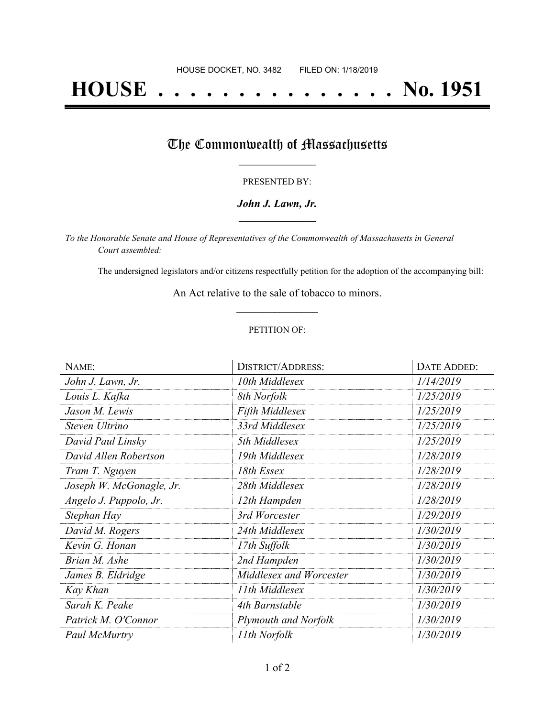# **HOUSE . . . . . . . . . . . . . . . No. 1951**

## The Commonwealth of Massachusetts

#### PRESENTED BY:

### *John J. Lawn, Jr.* **\_\_\_\_\_\_\_\_\_\_\_\_\_\_\_\_\_**

*To the Honorable Senate and House of Representatives of the Commonwealth of Massachusetts in General Court assembled:*

The undersigned legislators and/or citizens respectfully petition for the adoption of the accompanying bill:

An Act relative to the sale of tobacco to minors. **\_\_\_\_\_\_\_\_\_\_\_\_\_\_\_**

### PETITION OF:

| NAME:                    | <b>DISTRICT/ADDRESS:</b> | DATE ADDED: |
|--------------------------|--------------------------|-------------|
| John J. Lawn, Jr.        | 10th Middlesex           | 1/14/2019   |
| Louis L. Kafka           | 8th Norfolk              | 1/25/2019   |
| Jason M. Lewis           | <b>Fifth Middlesex</b>   | 1/25/2019   |
| Steven Ultrino           | 33rd Middlesex           | 1/25/2019   |
| David Paul Linsky        | 5th Middlesex            | 1/25/2019   |
| David Allen Robertson    | 19th Middlesex           | 1/28/2019   |
| Tram T. Nguyen           | 18th Essex               | 1/28/2019   |
| Joseph W. McGonagle, Jr. | 28th Middlesex           | 1/28/2019   |
| Angelo J. Puppolo, Jr.   | 12th Hampden             | 1/28/2019   |
| Stephan Hay              | 3rd Worcester            | 1/29/2019   |
| David M. Rogers          | 24th Middlesex           | 1/30/2019   |
| Kevin G. Honan           | 17th Suffolk             | 1/30/2019   |
| Brian M. Ashe            | 2nd Hampden              | 1/30/2019   |
| James B. Eldridge        | Middlesex and Worcester  | 1/30/2019   |
| Kay Khan                 | 11th Middlesex           | 1/30/2019   |
| Sarah K. Peake           | 4th Barnstable           | 1/30/2019   |
| Patrick M. O'Connor      | Plymouth and Norfolk     | 1/30/2019   |
| Paul McMurtry            | 11th Norfolk             | 1/30/2019   |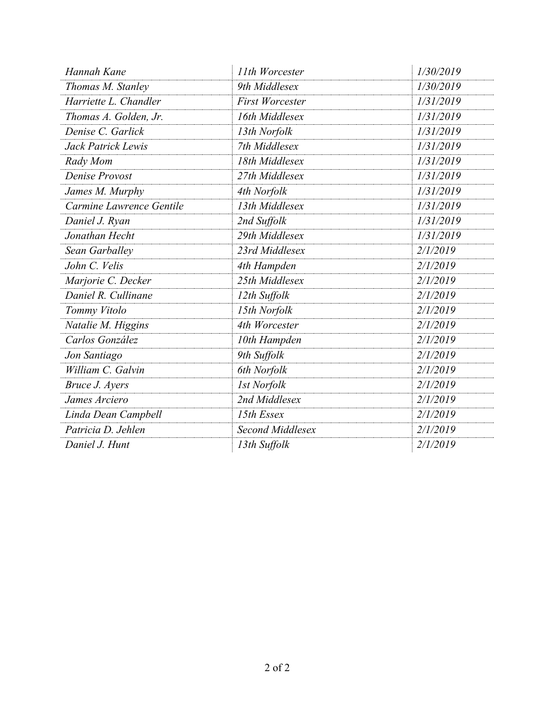| Hannah Kane              | 11th Worcester         | 1/30/2019 |
|--------------------------|------------------------|-----------|
| Thomas M. Stanley        | 9th Middlesex          | 1/30/2019 |
| Harriette L. Chandler    | <b>First Worcester</b> | 1/31/2019 |
| Thomas A. Golden, Jr.    | 16th Middlesex         | 1/31/2019 |
| Denise C. Garlick        | 13th Norfolk           | 1/31/2019 |
| Jack Patrick Lewis       | 7th Middlesex          | 1/31/2019 |
| Rady Mom                 | 18th Middlesex         | 1/31/2019 |
| Denise Provost           | 27th Middlesex         | 1/31/2019 |
| James M. Murphy          | 4th Norfolk            | 1/31/2019 |
| Carmine Lawrence Gentile | 13th Middlesex         | 1/31/2019 |
| Daniel J. Ryan           | 2nd Suffolk            | 1/31/2019 |
| Jonathan Hecht           | 29th Middlesex         | 1/31/2019 |
| Sean Garballey           | 23rd Middlesex         | 2/1/2019  |
| John C. Velis            | 4th Hampden            | 2/1/2019  |
| Marjorie C. Decker       | 25th Middlesex         | 2/1/2019  |
| Daniel R. Cullinane      | 12th Suffolk           | 2/1/2019  |
| Tommy Vitolo             | 15th Norfolk           | 2/1/2019  |
| Natalie M. Higgins       | 4th Worcester          | 2/1/2019  |
| Carlos González          | 10th Hampden           | 2/1/2019  |
| Jon Santiago             | 9th Suffolk            | 2/1/2019  |
| William C. Galvin        | 6th Norfolk            | 2/1/2019  |
| Bruce J. Ayers           | <b>1st Norfolk</b>     | 2/1/2019  |
| James Arciero            | 2nd Middlesex          | 2/1/2019  |
| Linda Dean Campbell      | 15th Essex             | 2/1/2019  |
| Patricia D. Jehlen       | Second Middlesex       | 2/1/2019  |
| Daniel J. Hunt           | 13th Suffolk           | 2/1/2019  |